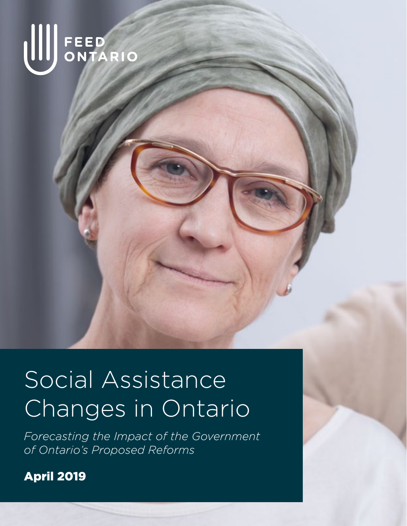

# Social Assistance Changes in Ontario

*Forecasting the Impact of the Government of Ontario's Proposed Reforms* 

April 2019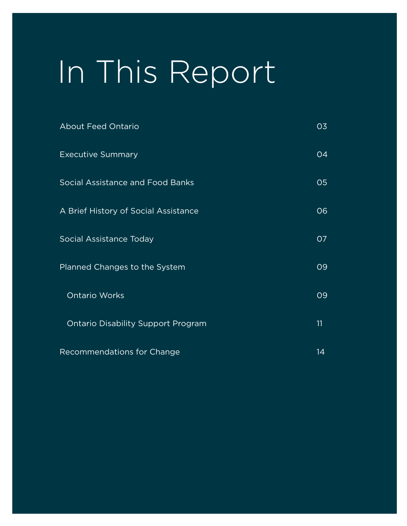# In This Report

| <b>About Feed Ontario</b>                 | 03 |
|-------------------------------------------|----|
| <b>Executive Summary</b>                  | 04 |
| Social Assistance and Food Banks          | 05 |
| A Brief History of Social Assistance      | 06 |
| Social Assistance Today                   | 07 |
| Planned Changes to the System             | 09 |
| <b>Ontario Works</b>                      | 09 |
| <b>Ontario Disability Support Program</b> | 11 |
| Recommendations for Change                | 14 |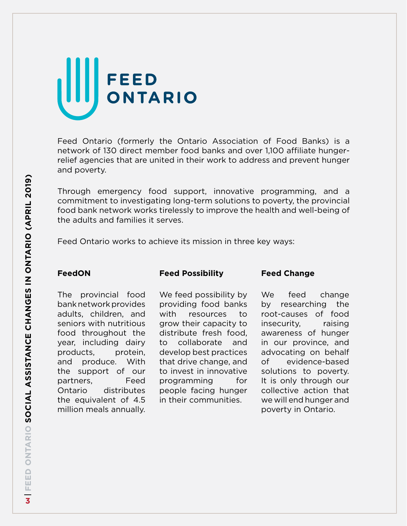# FEED<br>ONTARIO

Feed Ontario (formerly the Ontario Association of Food Banks) is a network of 130 direct member food banks and over 1,100 affiliate hungerrelief agencies that are united in their work to address and prevent hunger and poverty.

Through emergency food support, innovative programming, and a commitment to investigating long-term solutions to poverty, the provincial food bank network works tirelessly to improve the health and well-being of the adults and families it serves.

Feed Ontario works to achieve its mission in three key ways:

#### **FeedON**

#### **Feed Possibility**

#### **Feed Change**

The provincial food bank network provides adults, children, and seniors with nutritious food throughout the year, including dairy products, protein, and produce. With the support of our partners, Feed Ontario distributes the equivalent of 4.5 million meals annually.

We feed possibility by providing food banks with resources to grow their capacity to distribute fresh food, to collaborate and develop best practices that drive change, and to invest in innovative programming for people facing hunger in their communities.

We feed change by researching the root-causes of food insecurity, raising awareness of hunger in our province, and advocating on behalf of evidence-based solutions to poverty. It is only through our collective action that we will end hunger and poverty in Ontario.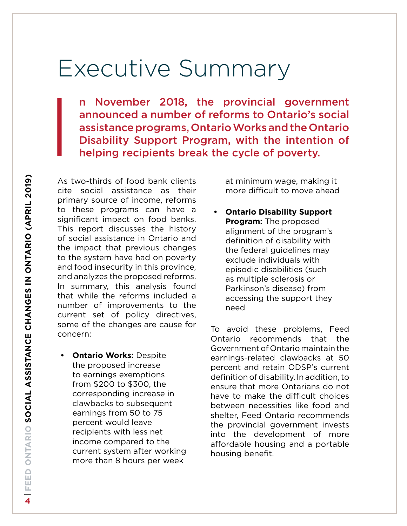## Executive Summary

n November 2018, the provincial government announced a number of reforms to Ontario's social assistance programs, Ontario Works and the Ontario n November 2018, the provincial government<br>announced a number of reforms to Ontario's social<br>assistance programs, Ontario Works and the Ontario<br>Disability Support Program, with the intention of<br>helping recipients break the

As two-thirds of food bank clients cite social assistance as their primary source of income, reforms to these programs can have a significant impact on food banks. This report discusses the history of social assistance in Ontario and the impact that previous changes to the system have had on poverty and food insecurity in this province, and analyzes the proposed reforms. In summary, this analysis found that while the reforms included a number of improvements to the current set of policy directives, some of the changes are cause for concern:

**• Ontario Works:** Despite the proposed increase to earnings exemptions from \$200 to \$300, the corresponding increase in clawbacks to subsequent earnings from 50 to 75 percent would leave recipients with less net income compared to the current system after working more than 8 hours per week

at minimum wage, making it more difficult to move ahead

**• Ontario Disability Support Program:** The proposed alignment of the program's definition of disability with the federal guidelines may exclude individuals with episodic disabilities (such as multiple sclerosis or Parkinson's disease) from accessing the support they need

To avoid these problems, Feed Ontario recommends that the Government of Ontario maintain the earnings-related clawbacks at 50 percent and retain ODSP's current definition of disability. In addition, to ensure that more Ontarians do not have to make the difficult choices between necessities like food and shelter, Feed Ontario recommends the provincial government invests into the development of more affordable housing and a portable housing benefit.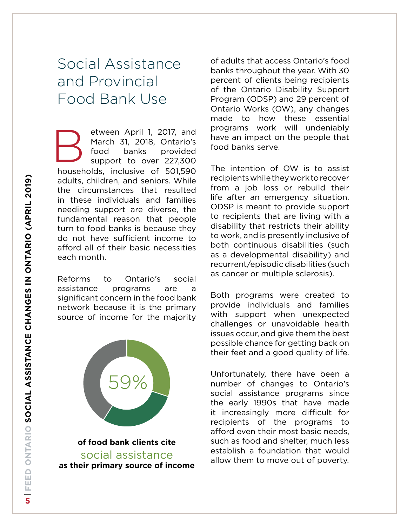## Social Assistance and Provincial Food Bank Use

households, inclusive of 501,590 adults, children, and seniors. While the circumstances that resulted in these individuals and families needing support are diverse, the fundamental reason that people turn to food banks is because they do not have sufficient income to afford all of their basic necessities each month. etween April 1, 2017, and March 31, 2018, Ontario's food banks provided support to over 227,300 B

Reforms to Ontario's social assistance programs are a significant concern in the food bank network because it is the primary source of income for the majority



**of food bank clients cite**  social assistance **as their primary source of income** of adults that access Ontario's food banks throughout the year. With 30 percent of clients being recipients of the Ontario Disability Support Program (ODSP) and 29 percent of Ontario Works (OW), any changes made to how these essential programs work will undeniably have an impact on the people that food banks serve.

The intention of OW is to assist recipients while they work to recover from a job loss or rebuild their life after an emergency situation. ODSP is meant to provide support to recipients that are living with a disability that restricts their ability to work, and is presently inclusive of both continuous disabilities (such as a developmental disability) and recurrent/episodic disabilities (such as cancer or multiple sclerosis).

Both programs were created to provide individuals and families with support when unexpected challenges or unavoidable health issues occur, and give them the best possible chance for getting back on their feet and a good quality of life.

Unfortunately, there have been a number of changes to Ontario's social assistance programs since the early 1990s that have made it increasingly more difficult for recipients of the programs to afford even their most basic needs, such as food and shelter, much less establish a foundation that would allow them to move out of poverty.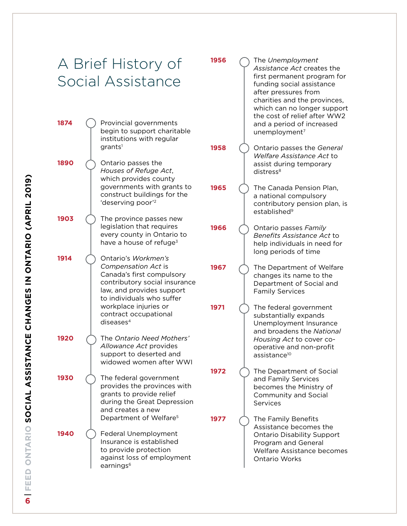|      | A Brief History of<br>Social Assistance                                                                                                                                | 1956 | The Unemployment<br>Assistance Act creates the<br>first permanent program for<br>funding social assistance<br>after pressures from<br>charities and the provinces,<br>which can no longer support |
|------|------------------------------------------------------------------------------------------------------------------------------------------------------------------------|------|---------------------------------------------------------------------------------------------------------------------------------------------------------------------------------------------------|
| 1874 | Provincial governments<br>begin to support charitable<br>institutions with regular                                                                                     |      | the cost of relief after WW2<br>and a period of increased<br>unemployment <sup>7</sup>                                                                                                            |
| 1890 | grants <sup>1</sup><br>Ontario passes the<br>Houses of Refuge Act,<br>which provides county                                                                            | 1958 | Ontario passes the General<br>Welfare Assistance Act to<br>assist during temporary<br>distress <sup>8</sup>                                                                                       |
|      | governments with grants to<br>construct buildings for the<br>'deserving poor'2                                                                                         | 1965 | The Canada Pension Plan,<br>a national compulsory<br>contributory pension plan, is<br>established <sup>9</sup>                                                                                    |
| 1903 | The province passes new<br>legislation that requires<br>every county in Ontario to<br>have a house of refuge <sup>3</sup>                                              | 1966 | Ontario passes Family<br>Benefits Assistance Act to<br>help individuals in need for<br>long periods of time                                                                                       |
| 1914 | Ontario's Workmen's<br>Compensation Act is<br>Canada's first compulsory<br>contributory social insurance<br>law, and provides support<br>to individuals who suffer     | 1967 | The Department of Welfare<br>changes its name to the<br>Department of Social and<br><b>Family Services</b>                                                                                        |
|      | workplace injuries or<br>contract occupational<br>diseases <sup>4</sup>                                                                                                | 1971 | The federal government<br>substantially expands<br>Unemployment Insurance<br>and broadens the National                                                                                            |
| 1920 | The Ontario Need Mothers'<br>Allowance Act provides<br>support to deserted and<br>widowed women after WWI                                                              |      | Housing Act to cover co-<br>operative and non-profit<br>assistance <sup>10</sup>                                                                                                                  |
| 1930 | The federal government<br>provides the provinces with<br>grants to provide relief<br>during the Great Depression<br>and creates a new                                  | 1972 | The Department of Social<br>and Family Services<br>becomes the Ministry of<br>Community and Social<br>Services                                                                                    |
| 1940 | Department of Welfare <sup>5</sup><br>Federal Unemployment<br>Insurance is established<br>to provide protection<br>against loss of employment<br>earnings <sup>6</sup> | 1977 | The Family Benefits<br>Assistance becomes the<br><b>Ontario Disability Support</b><br>Program and General<br>Welfare Assistance becomes<br>Ontario Works                                          |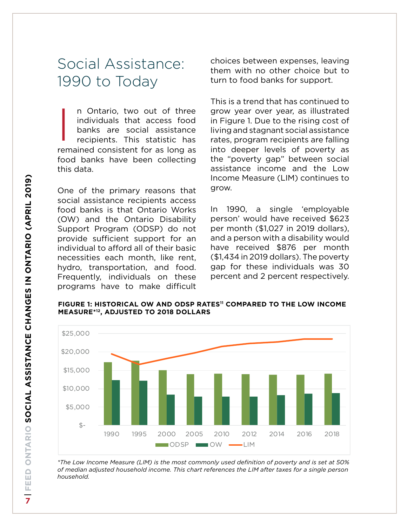## Social Assistance: 1990 to Today

n Ontario, two out of three individuals that access food banks are social assistance recipients. This statistic has remained consistent for as long as food banks have been collecting this data.  $\overline{\mathbf{I}}$ 

One of the primary reasons that social assistance recipients access food banks is that Ontario Works (OW) and the Ontario Disability Support Program (ODSP) do not provide sufficient support for an individual to afford all of their basic necessities each month, like rent, hydro, transportation, and food. Frequently, individuals on these programs have to make difficult choices between expenses, leaving them with no other choice but to turn to food banks for support.

This is a trend that has continued to grow year over year, as illustrated in Figure 1. Due to the rising cost of living and stagnant social assistance rates, program recipients are falling into deeper levels of poverty as the "poverty gap" between social assistance income and the Low Income Measure (LIM) continues to grow.

In 1990, a single 'employable person' would have received \$623 per month (\$1,027 in 2019 dollars), and a person with a disability would have received \$876 per month (\$1,434 in 2019 dollars). The poverty gap for these individuals was 30 percent and 2 percent respectively.

**FIGURE 1: Historical OW and ODSP rates[11](#page-15-10) compared to the low income measure\*[12](#page-15-11), adjusted to 2018 dollars**



*\*The Low Income Measure (LIM) is the most commonly used definition of poverty and is set at 50% of median adjusted household income. This chart references the LIM after taxes for a single person household.*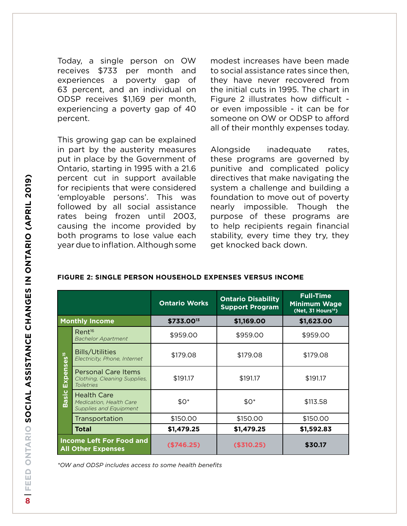Today, a single person on OW receives \$733 per month and experiences a poverty gap of 63 percent, and an individual on ODSP receives \$1,169 per month, experiencing a poverty gap of 40 percent.

This growing gap can be explained in part by the austerity measures put in place by the Government of Ontario, starting in 1995 with a 21.6 percent cut in support available for recipients that were considered 'employable persons'. This was followed by all social assistance rates being frozen until 2003, causing the income provided by both programs to lose value each year due to inflation. Although some modest increases have been made to social assistance rates since then, they have never recovered from the initial cuts in 1995. The chart in Figure 2 illustrates how difficult or even impossible - it can be for someone on OW or ODSP to afford all of their monthly expenses today.

Alongside inadequate rates, these programs are governed by punitive and complicated policy directives that make navigating the system a challenge and building a foundation to move out of poverty nearly impossible. Though the purpose of these programs are to help recipients regain financial stability, every time they try, they get knocked back down.

#### **FIGURE 2: SINGLE PERSON HOUSEHOLD EXPENSES versus income**

|                                                              |                                                                                             | <b>Ontario Works</b> | <b>Ontario Disability</b><br><b>Support Program</b> | <b>Full-Time</b><br><b>Minimum Wage</b><br>(Net, 31 Hours <sup>14</sup> ) |  |
|--------------------------------------------------------------|---------------------------------------------------------------------------------------------|----------------------|-----------------------------------------------------|---------------------------------------------------------------------------|--|
| <b>Monthly Income</b>                                        |                                                                                             | \$733.0013           | \$1,169.00                                          | \$1,623.00                                                                |  |
| Expenses <sup>15</sup><br><b>Basic</b>                       | Rent <sup>16</sup><br><b>Bachelor Apartment</b>                                             | \$959.00             | \$959.00                                            | \$959.00                                                                  |  |
|                                                              | <b>Bills/Utilities</b><br>Electricity, Phone, Internet                                      | \$179.08             |                                                     | \$179.08                                                                  |  |
|                                                              | <b>Personal Care Items</b><br>\$191.17<br>Clothing, Cleaning Supplies,<br><b>Toiletries</b> |                      | \$191.17                                            | \$191.17                                                                  |  |
|                                                              | <b>Health Care</b><br>Medication, Health Care<br><b>Supplies and Equipment</b>              | $$0^*$               | $$0^*$                                              | \$113.58                                                                  |  |
|                                                              | Transportation                                                                              | \$150.00             | \$150.00                                            | \$150.00                                                                  |  |
|                                                              | Total                                                                                       | \$1,479.25           | \$1,479.25                                          | \$1,592.83                                                                |  |
| <b>Income Left For Food and</b><br><b>All Other Expenses</b> |                                                                                             | (\$746.25)           | (\$310.25)                                          | \$30.17                                                                   |  |

*\*OW and ODSP includes access to some health benefits*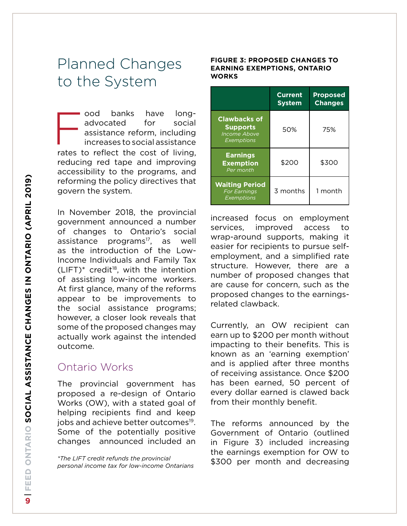## Planned Changes to the System

ood banks have longadvocated for social assistance reform, including increases to social assistance rates to reflect the cost of living, reducing red tape and improving accessibility to the programs, and reforming the policy directives that govern the system.  $\begin{array}{|c|c|c|}\n\hline\n\hline\n\text{ratos} & \text{if} \\\hline\n\end{array}$ 

In November 2018, the provincial government announced a number of changes to Ontario's social assistance programs<sup>17</sup>, as well as the introduction of the Low-Income Individuals and Family Tax  $(LIFT)*$  credit<sup>18</sup>, with the intention of assisting low-income workers. At first glance, many of the reforms appear to be improvements to the social assistance programs; however, a closer look reveals that some of the proposed changes may actually work against the intended outcome.

#### Ontario Works

The provincial government has proposed a re-design of Ontario Works (OW), with a stated goal of helping recipients find and keep jobs and achieve better outcomes<sup>19</sup>. Some of the potentially positive changes announced included an

*\*The LIFT credit refunds the provincial personal income tax for low-income Ontarians*

#### **FIGURE 3: proposed Changes to Earning exemptions, Ontario works**

|                                                                             | <b>Current</b><br><b>System</b> | <b>Proposed</b><br><b>Changes</b> |
|-----------------------------------------------------------------------------|---------------------------------|-----------------------------------|
| <b>Clawbacks of</b><br><b>Supports</b><br><b>Income Above</b><br>Exemptions | 50%                             | 75%                               |
| <b>Earnings</b><br><b>Exemption</b><br>Per month                            | \$200                           | \$300                             |
| <b>Waiting Period</b><br><b>For Earnings</b><br><b>Exemptions</b>           | 3 months                        | 1 month                           |

increased focus on employment services, improved access to wrap-around supports, making it easier for recipients to pursue selfemployment, and a simplified rate structure. However, there are a number of proposed changes that are cause for concern, such as the proposed changes to the earningsrelated clawback.

Currently, an OW recipient can earn up to \$200 per month without impacting to their benefits. This is known as an 'earning exemption' and is applied after three months of receiving assistance. Once \$200 has been earned, 50 percent of every dollar earned is clawed back from their monthly benefit.

The reforms announced by the Government of Ontario (outlined in Figure 3) included increasing the earnings exemption for OW to \$300 per month and decreasing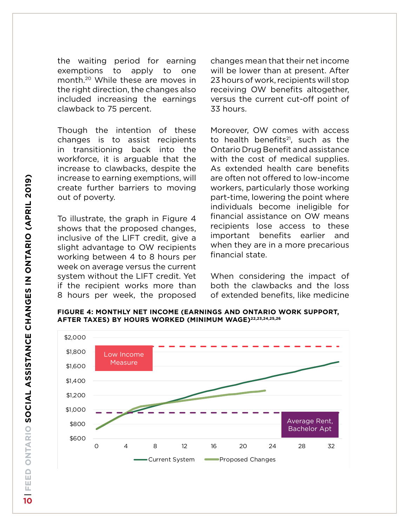the waiting period for earning exemptions to apply to one month[.20](#page-16-5) While these are moves in the right direction, the changes also included increasing the earnings clawback to 75 percent.

Though the intention of these changes is to assist recipients in transitioning back into the workforce, it is arguable that the increase to clawbacks, despite the increase to earning exemptions, will create further barriers to moving out of poverty.

To illustrate, the graph in Figure 4 shows that the proposed changes, inclusive of the LIFT credit, give a slight advantage to OW recipients working between 4 to 8 hours per week on average versus the current system without the LIFT credit. Yet if the recipient works more than 8 hours per week, the proposed changes mean that their net income will be lower than at present. After 23 hours of work, recipients will stop receiving OW benefits altogether, versus the current cut-off point of 33 hours.

Moreover, OW comes with access to health benefits $21$ , such as the Ontario Drug Benefit and assistance with the cost of medical supplies. As extended health care benefits are often not offered to low-income workers, particularly those working part-time, lowering the point where individuals become ineligible for financial assistance on OW means recipients lose access to these important benefits earlier and when they are in a more precarious financial state.

When considering the impact of both the clawbacks and the loss of extended benefits, like medicine

**FIGURE 4: MONTHLY net income (Earnings and Ontario work support, after taxes) by hours worked (Minimum wage)[22,](#page-16-0)[23](#page-16-1),[24,](#page-16-2)[25](#page-16-3),[26](#page-16-4)**

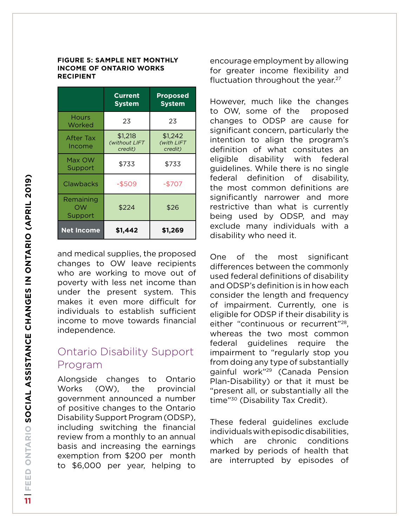#### **FIGURE 5: Sample net monthly income of Ontario Works Recipient**

|                            | <b>Current</b><br>System            | <b>Proposed</b><br><b>System</b> |
|----------------------------|-------------------------------------|----------------------------------|
| <b>Hours</b><br>Worked     | 23                                  | 23                               |
| After Tax<br>Income        | \$1,218<br>(without LIFT<br>credit) | \$1,242<br>(with LIFT<br>credit) |
| Max OW<br>Support          | \$733                               | \$733                            |
| Clawbacks                  | -\$509                              | -\$707                           |
| Remaining<br>OW<br>Support | \$224                               | \$26                             |
| <b>Net Income</b>          | \$1,442                             | \$1,269                          |

and medical supplies, the proposed changes to OW leave recipients who are working to move out of poverty with less net income than under the present system. This makes it even more difficult for individuals to establish sufficient income to move towards financial independence.

#### Ontario Disability Support Program

Alongside changes to Ontario Works (OW), the provincial government announced a number of positive changes to the Ontario Disability Support Program (ODSP), including switching the financial review from a monthly to an annual basis and increasing the earnings exemption from \$200 per month to \$6,000 per year, helping to encourage employment by allowing for greater income flexibility and fluctuation throughout the year. $27$ 

However, much like the changes to OW, some of the proposed changes to ODSP are cause for significant concern, particularly the intention to align the program's definition of what consitutes an eligible disability with federal guidelines. While there is no single federal definition of disability, the most common definitions are significantly narrower and more restrictive than what is currently being used by ODSP, and may exclude many individuals with a disability who need it.

One of the most significant differences between the commonly used federal definitions of disability and ODSP's definition is in how each consider the length and frequency of impairment. Currently, one is eligible for ODSP if their disability is either "continuous or recurrent["28,](#page-16-8) whereas the two most common federal guidelines require the impairment to "regularly stop you from doing any type of substantially gainful work"[29](#page-16-9) (Canada Pension Plan-Disability) or that it must be "present all, or substantially all the time"[30](#page-16-10) (Disability Tax Credit).

These federal guidelines exclude individuals with episodic disabilities, which are chronic conditions marked by periods of health that are interrupted by episodes of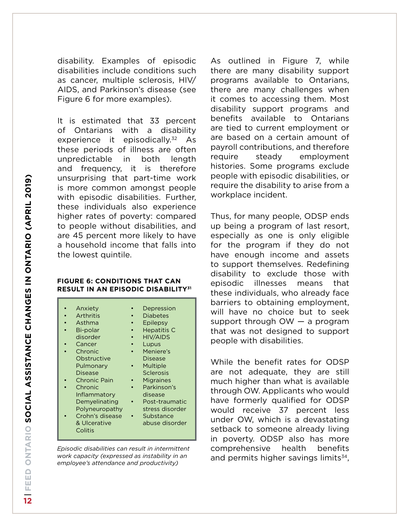disability. Examples of episodic disabilities include conditions such as cancer, multiple sclerosis, HIV/ AIDS, and Parkinson's disease (see Figure 6 for more examples).

It is estimated that 33 percent of Ontarians with a disability experience it episodically.<sup>32</sup> As these periods of illness are often unpredictable in both length and frequency, it is therefore unsurprising that part-time work is more common amongst people with episodic disabilities. Further, these individuals also experience higher rates of poverty: compared to people without disabilities, and are 45 percent more likely to have a household income that falls into the lowest quintile.

#### **FIGURE 6: conditions that can result in an episodic disability[31](#page-16-11)**

*Episodic disabilities can result in intermittent work capacity (expressed as instability in an employee's attendance and productivity)*

As outlined in Figure 7, while there are many disability support programs available to Ontarians, there are many challenges when it comes to accessing them. Most disability support programs and benefits available to Ontarians are tied to current employment or are based on a certain amount of payroll contributions, and therefore require steady employment histories. Some programs exclude people with episodic disabilities, or require the disability to arise from a workplace incident.

Thus, for many people, ODSP ends up being a program of last resort, especially as one is only eligible for the program if they do not have enough income and assets to support themselves. Redefining disability to exclude those with episodic illnesses means that these individuals, who already face barriers to obtaining employment, will have no choice but to seek support through OW — a program that was not designed to support people with disabilities.

While the benefit rates for ODSP are not adequate, they are still much higher than what is available through OW. Applicants who would have formerly qualified for ODSP would receive 37 percent less under OW, which is a devastating setback to someone already living in poverty. ODSP also has more comprehensive health benefits and permits higher savings limits $34$ ,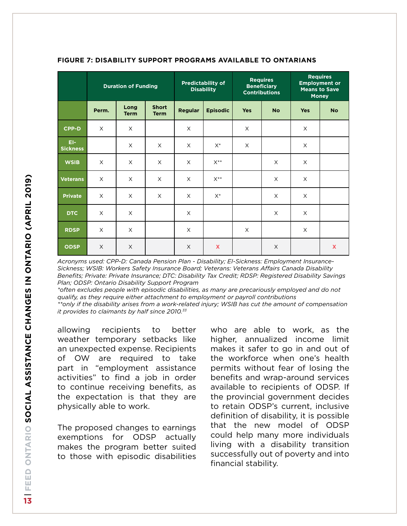|                        | <b>Duration of Funding</b> |                     | <b>Predictability of</b><br><b>Disability</b> |                | <b>Requires</b><br><b>Beneficiary</b><br><b>Contributions</b> |            | <b>Requires</b><br><b>Employment or</b><br><b>Means to Save</b><br><b>Money</b> |            |              |
|------------------------|----------------------------|---------------------|-----------------------------------------------|----------------|---------------------------------------------------------------|------------|---------------------------------------------------------------------------------|------------|--------------|
|                        | Perm.                      | Long<br><b>Term</b> | <b>Short</b><br><b>Term</b>                   | <b>Regular</b> | <b>Episodic</b>                                               | <b>Yes</b> | <b>No</b>                                                                       | <b>Yes</b> | <b>No</b>    |
| $CPP-D$                | $\times$                   | X                   |                                               | X              |                                                               | X          |                                                                                 | $\times$   |              |
| EI-<br><b>Sickness</b> |                            | X                   | X                                             | $\times$       | $X^*$                                                         | X          |                                                                                 | $\times$   |              |
| <b>WSIB</b>            | X                          | $\times$            | X                                             | $\times$       | $X^{**}$                                                      |            | X                                                                               | $\times$   |              |
| <b>Veterans</b>        | X                          | X                   | X                                             | X              | $X^{**}$                                                      |            | X                                                                               | $\times$   |              |
| <b>Private</b>         | $\times$                   | $\times$            | $\times$                                      | $\times$       | $X^*$                                                         |            | $\times$                                                                        | $\times$   |              |
| <b>DTC</b>             | X                          | X                   |                                               | $\times$       |                                                               |            | X                                                                               | $\times$   |              |
| <b>RDSP</b>            | X                          | X                   |                                               | $\times$       |                                                               | X          |                                                                                 | $\times$   |              |
| <b>ODSP</b>            | $\times$                   | X                   |                                               | $\times$       | X                                                             |            | $\times$                                                                        |            | $\mathbf{x}$ |

#### **FIGURE 7: Disability support programs available to ontarians**

*Acronyms used: CPP-D: Canada Pension Plan - Disability; EI-Sickness: Employment Insurance-Sickness; WSIB: Workers Safety Insurance Board; Veterans: Veterans Affairs Canada Disability Benefits; Private: Private Insurance; DTC: Disability Tax Credit; RDSP: Registered Disability Savings Plan; ODSP: Ontario Disability Support Program*

*\*often excludes people with episodic disabilities, as many are precariously employed and do not qualify, as they require either attachment to employment or payroll contributions \*\*only if the disability arises from a work-related injury; WSIB has cut the amount of compensation it provides to claimants by half since 2010[.33](#page-16-14)*

allowing recipients to better weather temporary setbacks like an unexpected expense. Recipients of OW are required to take part in "employment assistance activities" to find a job in order to continue receiving benefits, as the expectation is that they are physically able to work.

The proposed changes to earnings exemptions for ODSP actually makes the program better suited to those with episodic disabilities who are able to work, as the higher, annualized income limit makes it safer to go in and out of the workforce when one's health permits without fear of losing the benefits and wrap-around services available to recipients of ODSP. If the provincial government decides to retain ODSP's current, inclusive definition of disability, it is possible that the new model of ODSP could help many more individuals living with a disability transition successfully out of poverty and into financial stability.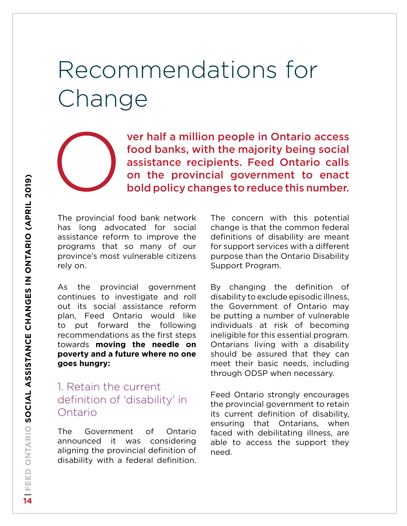# Recommendations for Change

ver half a million people in Ontario access food banks, with the majority being social assistance recipients. Feed Ontario calls on the provincial government to enact<br>bold policy changes to reduce this number.

The provincial food bank network has long advocated for social assistance reform to improve the programs that so many of our province's most vulnerable citizens rely on.

As the provincial government continues to investigate and roll out its social assistance reform plan, Feed Ontario would like to put forward the following recommendations as the first steps towards **moving the needle on poverty and a future where no one goes hungry:**

#### 1. Retain the current definition of 'disability' in Ontario

The Government of Ontario announced it was considering aligning the provincial definition of disability with a federal definition.

The concern with this potential change is that the common federal definitions of disability are meant for support services with a different purpose than the Ontario Disability Support Program.

By changing the definition of disability to exclude episodic illness, the Government of Ontario may be putting a number of vulnerable individuals at risk of becoming ineligible for this essential program. Ontarians living with a disability should be assured that they can meet their basic needs, including through ODSP when necessary.

Feed Ontario strongly encourages the provincial government to retain its current definition of disability, ensuring that Ontarians, when faced with debilitating illness, are able to access the support they need.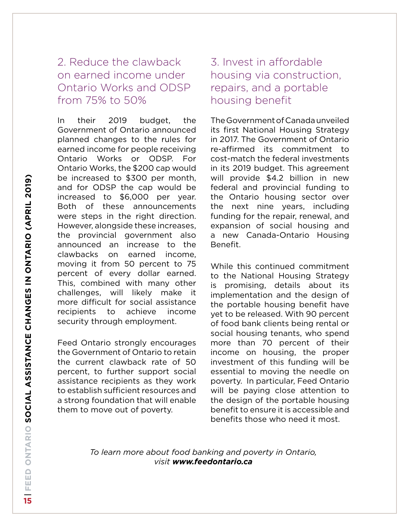#### 2. Reduce the clawback on earned income under Ontario Works and ODSP from 75% to 50%

In their 2019 budget, the Government of Ontario announced planned changes to the rules for earned income for people receiving Ontario Works or ODSP. For Ontario Works, the \$200 cap would be increased to \$300 per month, and for ODSP the cap would be increased to \$6,000 per year. Both of these announcements were steps in the right direction. However, alongside these increases, the provincial government also announced an increase to the clawbacks on earned income, moving it from 50 percent to 75 percent of every dollar earned. This, combined with many other challenges, will likely make it more difficult for social assistance recipients to achieve income security through employment.

Feed Ontario strongly encourages the Government of Ontario to retain the current clawback rate of 50 percent, to further support social assistance recipients as they work to establish sufficient resources and a strong foundation that will enable them to move out of poverty.

#### 3. Invest in affordable housing via construction, repairs, and a portable housing benefit

The Government of Canada unveiled its first National Housing Strategy in 2017. The Government of Ontario re-affirmed its commitment to cost-match the federal investments in its 2019 budget. This agreement will provide \$4.2 billion in new federal and provincial funding to the Ontario housing sector over the next nine years, including funding for the repair, renewal, and expansion of social housing and a new Canada-Ontario Housing Benefit.

While this continued commitment to the National Housing Strategy is promising, details about its implementation and the design of the portable housing benefit have yet to be released. With 90 percent of food bank clients being rental or social housing tenants, who spend more than 70 percent of their income on housing, the proper investment of this funding will be essential to moving the needle on poverty. In particular, Feed Ontario will be paying close attention to the design of the portable housing benefit to ensure it is accessible and benefits those who need it most.

*To learn more about food banking and poverty in Ontario, visit www.feedontario.ca*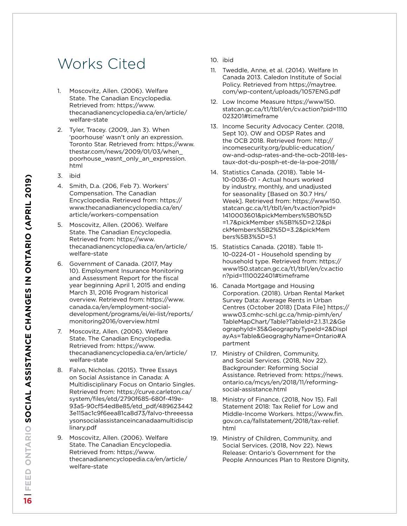### Works Cited

- <span id="page-15-0"></span>1. Moscovitz, Allen. (2006). Welfare State. The Canadian Encyclopedia. Retrieved from: https://www. thecanadianencyclopedia.ca/en/article/ welfare-state
- <span id="page-15-1"></span>2. Tyler, Tracey. (2009, Jan 3). When 'poorhouse' wasn't only an expression. Toronto Star. Retrieved from: https://www. thestar.com/news/2009/01/03/when\_ poorhouse\_wasnt\_only\_an\_expression. html
- <span id="page-15-2"></span>3. ibid
- 4. Smith, D.a. (206, Feb 7). Workers' Compensation. The Canadian Encyclopedia. Retrieved from: https:// www.thecanadianencyclopedia.ca/en/ article/workers-compensation
- <span id="page-15-4"></span><span id="page-15-3"></span>5. Moscovitz, Allen. (2006). Welfare State. The Canadian Encyclopedia. Retrieved from: https://www. thecanadianencyclopedia.ca/en/article/ welfare-state
- <span id="page-15-5"></span>6. Government of Canada. (2017, May 10). Employment Insurance Monitoring and Assessment Report for the fiscal year beginning April 1, 2015 and ending March 31, 2016 Program historical overview. Retrieved from: https://www. canada.ca/en/employment-socialdevelopment/programs/ei/ei-list/reports/ monitoring2016/overview.html
- <span id="page-15-6"></span>7. Moscovitz, Allen. (2006). Welfare State. The Canadian Encyclopedia. Retrieved from: https://www. thecanadianencyclopedia.ca/en/article/ welfare-state
- <span id="page-15-7"></span>8. Falvo, Nicholas. (2015). Three Essays on Social Assistance in Canada: A Multidisciplinary Focus on Ontario Singles. Retrieved from: https://curve.carleton.ca/ system/files/etd/2790f685-680f-419e-93a5-90cf54ed8e85/etd\_pdf/489623442 3e115ac1c9f6eea81ca8d73/falvo-threeessa ysonsocialassistanceincanadaamultidiscip linary.pdf
- <span id="page-15-8"></span>9. Moscovitz, Allen. (2006). Welfare State. The Canadian Encyclopedia. Retrieved from: https://www. thecanadianencyclopedia.ca/en/article/ welfare-state
- <span id="page-15-9"></span>10. ibid
- <span id="page-15-10"></span>11. Tweddle, Anne, et al. (2014). Welfare In Canada 2013. Caledon Institute of Social Policy. Retrieved from https://maytree. com/wp-content/uploads/1057ENG.pdf
- <span id="page-15-11"></span>12. Low Income Measure https://www150. statcan.gc.ca/t1/tbl1/en/cv.action?pid=1110 023201#timeframe
- <span id="page-15-13"></span>13. Income Security Advocacy Center. (2018, Sept 10). OW and ODSP Rates and the OCB 2018. Retrieved from: http:// incomesecurity.org/public-education/ ow-and-odsp-rates-and-the-ocb-2018-lestaux-dot-du-posph-et-de-la-poe-2018/
- <span id="page-15-12"></span>14. Statistics Canada. (2018). Table 14- 10-0036-01 - Actual hours worked by industry, monthly, and unadjusted for seasonality [Based on 30.7 Hrs/ Week]. Retrieved from: https://www150. statcan.gc.ca/t1/tbl1/en/tv.action?pid= 1410003601&pickMembers%5B0%5D =1.7&pickMember s%5B1%5D=2.12&pi ckMembers%5B2%5D=3.2&pickMem bers%5B3%5D=5.1
- <span id="page-15-14"></span>15. Statistics Canada. (2018). Table 11- 10-0224-01 - Household spending by household type. Retrieved from: https:// www150.statcan.gc.ca/t1/tbl1/en/cv.actio n?pid=1110022401#timeframe
- <span id="page-15-15"></span>16. Canada Mortgage and Housing Corporation. (2018). Urban Rental Market Survey Data: Average Rents in Urban Centres (October 2018) [Data File] https:// www03.cmhc-schl.gc.ca/hmip-pimh/en/ TableMapChart/Table?TableId=2.1.31.2&Ge ographyId=35&GeographyTypeId=2&Displ ayAs=Table&GeograghyName=Ontario#A partment
- <span id="page-15-17"></span>17. Ministry of Children, Community, and Social Services. (2018, Nov 22). Backgrounder: Reforming Social Assistance. Retrieved from: https://news. ontario.ca/mcys/en/2018/11/reformingsocial-assistance.html
- <span id="page-15-18"></span>18. Ministry of Finance. (2018, Nov 15). Fall Statement 2018: Tax Relief for Low and Middle-Income Workers. https://www.fin. gov.on.ca/fallstatement/2018/tax-relief. html
- <span id="page-15-16"></span>19. Ministry of Children, Community, and Social Services. (2018, Nov 22). News Release: Ontario's Government for the People Announces Plan to Restore Dignity,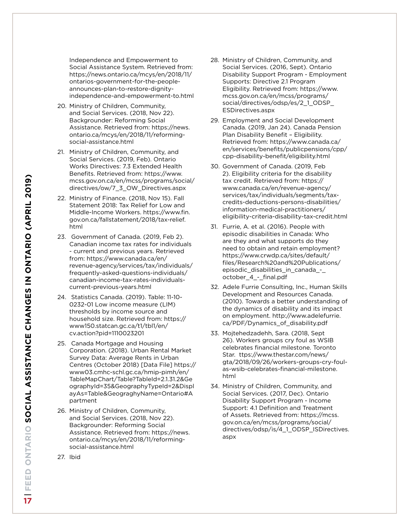Independence and Empowerment to Social Assistance System. Retrieved from: https://news.ontario.ca/mcys/en/2018/11/ ontarios-government-for-the-peopleannounces-plan-to-restore-dignityindependence-and-empowerment-to.html

- <span id="page-16-5"></span>20. Ministry of Children, Community, and Social Services. (2018, Nov 22). Backgrounder: Reforming Social Assistance. Retrieved from: https://news. ontario.ca/mcys/en/2018/11/reformingsocial-assistance.html
- <span id="page-16-6"></span>21. Ministry of Children, Community, and Social Services. (2019, Feb). Ontario Works Directives: 7.3 Extended Health Benefits. Retrieved from: https://www. mcss.gov.on.ca/en/mcss/programs/social/ directives/ow/7\_3\_OW\_Directives.aspx
- <span id="page-16-0"></span>22. Ministry of Finance. (2018, Nov 15). Fall Statement 2018: Tax Relief for Low and Middle-Income Workers. https://www.fin. gov.on.ca/fallstatement/2018/tax-relief. html
- <span id="page-16-1"></span>23. Government of Canada. (2019, Feb 2). Canadian income tax rates for individuals - current and previous years. Retrieved from: https://www.canada.ca/en/ revenue-agency/services/tax/individuals/ frequently-asked-questions-individuals/ canadian-income-tax-rates-individualscurrent-previous-years.html
- <span id="page-16-2"></span>24. Statistics Canada. (2019). Table: 11-10- 0232-01 Low income measure (LIM) thresholds by income source and household size. Retrieved from: https:// www150.statcan.gc.ca/t1/tbl1/en/ cv.action?pid=1110023201
- <span id="page-16-3"></span>25. Canada Mortgage and Housing Corporation. (2018). Urban Rental Market Survey Data: Average Rents in Urban Centres (October 2018) [Data File] https:// www03.cmhc-schl.gc.ca/hmip-pimh/en/ TableMapChart/Table?TableId=2.1.31.2&Ge ographyId=35&GeographyTypeId=2&Displ ayAs=Table&GeograghyName=Ontario#A partment
- <span id="page-16-4"></span>26. Ministry of Children, Community, and Social Services. (2018, Nov 22). Backgrounder: Reforming Social Assistance. Retrieved from: https://news. ontario.ca/mcys/en/2018/11/reformingsocial-assistance.html
- <span id="page-16-8"></span>28. Ministry of Children, Community, and Social Services. (2016, Sept). Ontario Disability Support Program - Employment Supports: Directive 2.1 Program Eligibility. Retrieved from: https://www. mcss.gov.on.ca/en/mcss/programs/ social/directives/odsp/es/2\_1\_ODSP ESDirectives.aspx
- <span id="page-16-9"></span>29. Employment and Social Development Canada. (2019, Jan 24). Canada Pension Plan Disability Benefit – Eligibility. Retrieved from: https://www.canada.ca/ en/services/benefits/publicpensions/cpp/ cpp-disability-benefit/eligibility.html
- <span id="page-16-10"></span>30. Government of Canada. (2019, Feb 2). Eligibility criteria for the disability tax credit. Retrieved from: https:// www.canada.ca/en/revenue-agency/ services/tax/individuals/segments/taxcredits-deductions-persons-disabilities/ information-medical-practitioners/ eligibility-criteria-disability-tax-credit.html
- <span id="page-16-11"></span>31. Furrie, A. et al. (2016). People with episodic disabilities in Canada: Who are they and what supports do they need to obtain and retain employment? https://www.crwdp.ca/sites/default/ files/Research%20and%20Publications/ episodic\_disabilities\_in\_canada\_-\_ october\_4\_-\_final.pdf
- <span id="page-16-13"></span>32. Adele Furrie Consulting, Inc., Human Skills Development and Resources Canada. (2010). Towards a better understanding of the dynamics of disability and its impact on employment. http://www.adelefurrie. ca/PDF/Dynamics\_of\_disability.pdf
- <span id="page-16-14"></span>33. Mojtehedzadehh, Sara. (2018, Sept 26). Workers groups cry foul as WSIB celebrates financial milestone. Toronto Star. ttps://www.thestar.com/news/ gta/2018/09/26/workers-groups-cry-foulas-wsib-celebrates-financial-milestone. html
- <span id="page-16-12"></span>34. Ministry of Children, Community, and Social Services. (2017, Dec). Ontario Disability Support Program - Income Support: 4.1 Definition and Treatment of Assets. Retrieved from: https://mcss. gov.on.ca/en/mcss/programs/social/ directives/odsp/is/4\_1\_ODSP\_ISDirectives. aspx

**FEED ONTARIO S ocial assistan**  $\mathbf{\mathsf{c}}$ **NAH) ges in ontario (April 2019)**  $\frac{1}{17}$ 

<span id="page-16-7"></span>27. Ibid